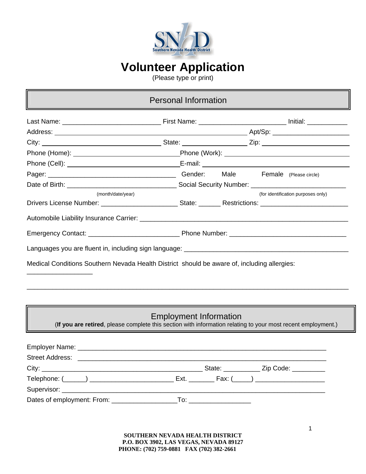

# **Volunteer Application**

(Please type or print)

### Personal Information

| (month/date/year)                                                                                         |  | (for identification purposes only) |
|-----------------------------------------------------------------------------------------------------------|--|------------------------------------|
| Drivers License Number: __________________________State: ________ Restrictions: _________________________ |  |                                    |
|                                                                                                           |  |                                    |
|                                                                                                           |  |                                    |
|                                                                                                           |  |                                    |
| Medical Conditions Southern Nevada Health District should be aware of, including allergies:               |  |                                    |

### Employment Information

\_\_\_\_\_\_\_\_\_\_\_\_\_\_\_\_\_\_\_\_\_\_\_\_\_\_\_\_\_\_\_\_\_\_\_\_\_\_\_\_\_\_\_\_\_\_\_\_\_\_\_\_\_\_\_\_\_\_\_\_\_\_\_\_\_\_\_\_\_\_\_\_\_\_\_\_\_\_\_\_\_\_\_\_\_\_\_\_

(**If you are retired**, please complete this section with information relating to your most recent employment.)

|     | State: ______________ Zip Code: __________                   |
|-----|--------------------------------------------------------------|
|     | Ext. ____________ Fax: (______) ____________________________ |
|     |                                                              |
| To: |                                                              |

**SOUTHERN NEVADA HEALTH DISTRICT P.O. BOX 3902, LAS VEGAS, NEVADA 89127 PHONE: (702) 759-0881 FAX (702) 382-2661**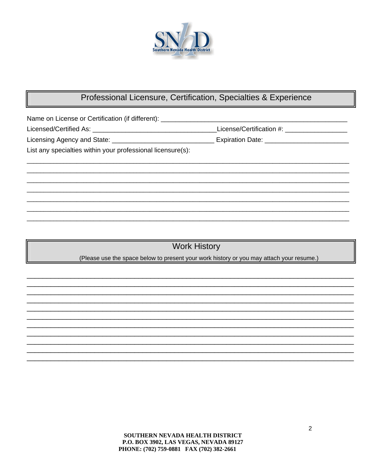

## Professional Licensure, Certification, Specialties & Experience

Name on License or Certification (if different): \_\_\_\_\_\_\_\_\_\_\_\_\_\_\_\_\_\_\_

Licensing Agency and State: \_\_\_\_\_\_\_\_\_\_\_\_\_\_\_\_\_\_\_\_\_\_\_\_\_\_\_\_\_\_\_\_\_\_\_ Expiration Date: \_\_\_\_\_\_\_\_\_\_\_\_\_\_\_\_\_\_\_\_\_\_\_\_\_\_\_\_

List any specialties within your professional licensure(s):

# **Work History**

(Please use the space below to present your work history or you may attach your resume.)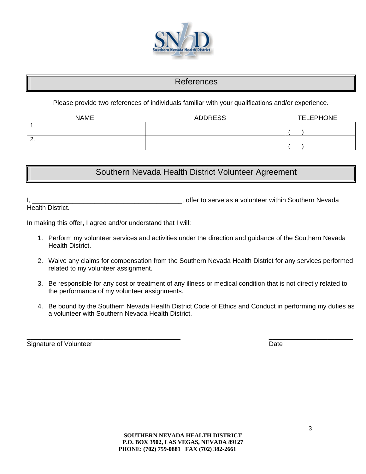

### References

Please provide two references of individuals familiar with your qualifications and/or experience.

| <b>NAME</b> | <b>ADDRESS</b> | <b>TELEPHONE</b> |
|-------------|----------------|------------------|
| . .         |                |                  |
|             |                |                  |
| 2.          |                |                  |
|             |                |                  |

## Southern Nevada Health District Volunteer Agreement

I, \_\_\_\_\_\_\_\_\_\_\_\_\_\_\_\_\_\_\_\_\_\_\_\_\_\_\_\_\_\_\_\_\_\_\_\_\_\_\_\_\_, offer to serve as a volunteer within Southern Nevada Health District.

In making this offer, I agree and/or understand that I will:

- 1. Perform my volunteer services and activities under the direction and guidance of the Southern Nevada Health District.
- 2. Waive any claims for compensation from the Southern Nevada Health District for any services performed related to my volunteer assignment.
- 3. Be responsible for any cost or treatment of any illness or medical condition that is not directly related to the performance of my volunteer assignments.
- 4. Be bound by the Southern Nevada Health District Code of Ethics and Conduct in performing my duties as a volunteer with Southern Nevada Health District.

 $\overline{\phantom{a}}$  , and the contract of the contract of the contract of the contract of the contract of the contract of the contract of the contract of the contract of the contract of the contract of the contract of the contrac

Signature of Volunteer **Date**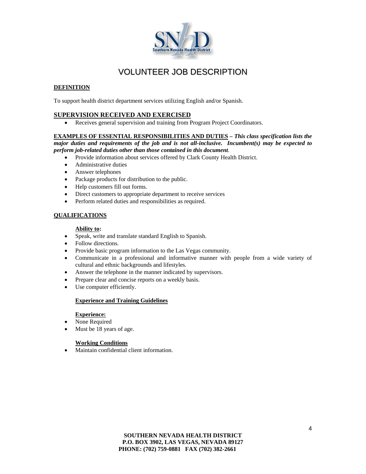

# VOLUNTEER JOB DESCRIPTION

#### **DEFINITION**

To support health district department services utilizing English and/or Spanish.

#### **SUPERVISION RECEIVED AND EXERCISED**

• Receives general supervision and training from Program Project Coordinators.

#### **EXAMPLES OF ESSENTIAL RESPONSIBILITIES AND DUTIES –** *This class specification lists the major duties and requirements of the job and is not all-inclusive. Incumbent(s) may be expected to*

*perform job-related duties other than those contained in this document*.

- Provide information about services offered by Clark County Health District.
- Administrative duties
- Answer telephones
- Package products for distribution to the public.
- Help customers fill out forms.
- Direct customers to appropriate department to receive services
- Perform related duties and responsibilities as required.

#### **QUALIFICATIONS**

#### **Ability to:**

- Speak, write and translate standard English to Spanish.
- Follow directions.
- Provide basic program information to the Las Vegas community.
- Communicate in a professional and informative manner with people from a wide variety of cultural and ethnic backgrounds and lifestyles.
- Answer the telephone in the manner indicated by supervisors.
- Prepare clear and concise reports on a weekly basis.
- Use computer efficiently.

#### **Experience and Training Guidelines**

#### **Experience:**

- None Required
- Must be 18 years of age.

#### **Working Conditions**

• Maintain confidential client information.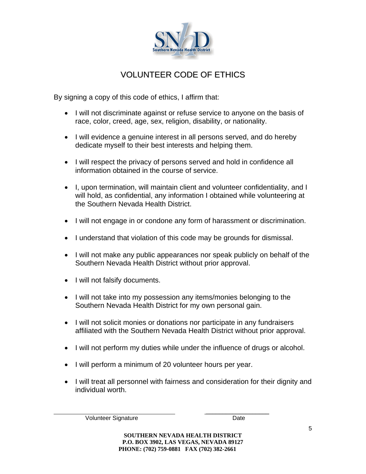

## VOLUNTEER CODE OF ETHICS

By signing a copy of this code of ethics, I affirm that:

- I will not discriminate against or refuse service to anyone on the basis of race, color, creed, age, sex, religion, disability, or nationality.
- I will evidence a genuine interest in all persons served, and do hereby dedicate myself to their best interests and helping them.
- I will respect the privacy of persons served and hold in confidence all information obtained in the course of service.
- I, upon termination, will maintain client and volunteer confidentiality, and I will hold, as confidential, any information I obtained while volunteering at the Southern Nevada Health District.
- I will not engage in or condone any form of harassment or discrimination.
- I understand that violation of this code may be grounds for dismissal.
- I will not make any public appearances nor speak publicly on behalf of the Southern Nevada Health District without prior approval.
- I will not falsify documents.
- I will not take into my possession any items/monies belonging to the Southern Nevada Health District for my own personal gain.
- I will not solicit monies or donations nor participate in any fundraisers affiliated with the Southern Nevada Health District without prior approval.
- I will not perform my duties while under the influence of drugs or alcohol.
- I will perform a minimum of 20 volunteer hours per year.
- I will treat all personnel with fairness and consideration for their dignity and individual worth.

 $\frac{1}{2}$  , and the set of the set of the set of the set of the set of the set of the set of the set of the set of the set of the set of the set of the set of the set of the set of the set of the set of the set of the set Volunteer Signature **Date**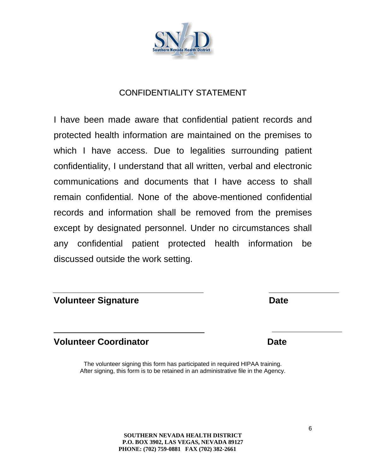

## CONFIDENTIALITY STATEMENT

I have been made aware that confidential patient records and protected health information are maintained on the premises to which I have access. Due to legalities surrounding patient confidentiality, I understand that all written, verbal and electronic communications and documents that I have access to shall remain confidential. None of the above-mentioned confidential records and information shall be removed from the premises except by designated personnel. Under no circumstances shall any confidential patient protected health information be discussed outside the work setting.

### **Volunteer Signature Date Contract Date Contract Date**

## **Volunteer Coordinator Contract Coordination Contract Coordination Communist Coordinate Coordinate Coordinate**

The volunteer signing this form has participated in required HIPAA training. After signing, this form is to be retained in an administrative file in the Agency.

6